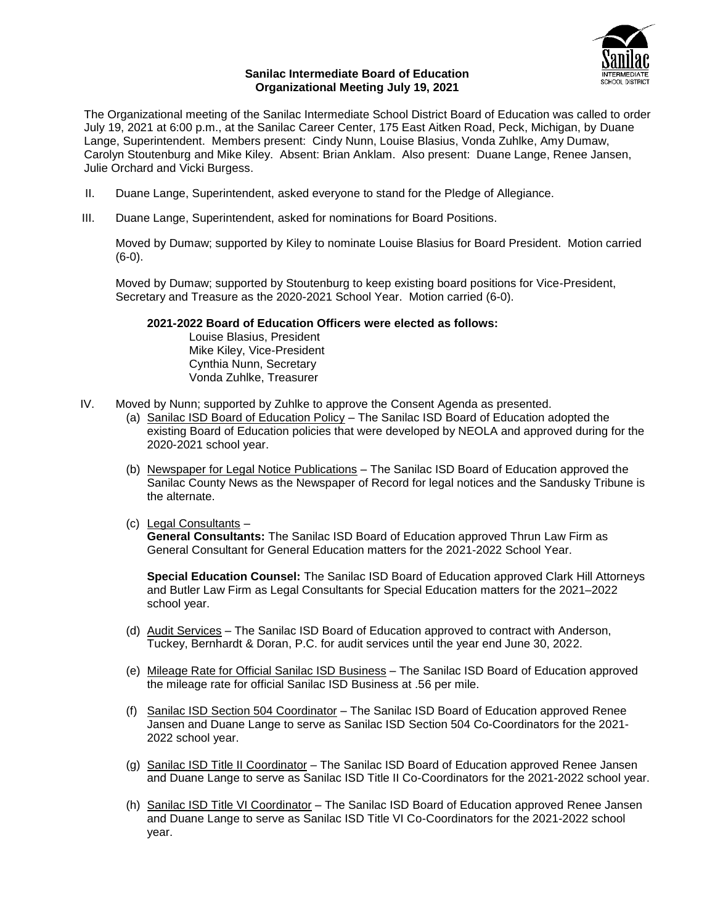

## **Sanilac Intermediate Board of Education Organizational Meeting July 19, 2021**

The Organizational meeting of the Sanilac Intermediate School District Board of Education was called to order July 19, 2021 at 6:00 p.m., at the Sanilac Career Center, 175 East Aitken Road, Peck, Michigan, by Duane Lange, Superintendent. Members present: Cindy Nunn, Louise Blasius, Vonda Zuhlke, Amy Dumaw, Carolyn Stoutenburg and Mike Kiley. Absent: Brian Anklam. Also present: Duane Lange, Renee Jansen, Julie Orchard and Vicki Burgess.

- II. Duane Lange, Superintendent, asked everyone to stand for the Pledge of Allegiance.
- III. Duane Lange, Superintendent, asked for nominations for Board Positions.

Moved by Dumaw; supported by Kiley to nominate Louise Blasius for Board President. Motion carried (6-0).

Moved by Dumaw; supported by Stoutenburg to keep existing board positions for Vice-President, Secretary and Treasure as the 2020-2021 School Year. Motion carried (6-0).

## **2021-2022 Board of Education Officers were elected as follows:**

Louise Blasius, President Mike Kiley, Vice-President Cynthia Nunn, Secretary Vonda Zuhlke, Treasurer

- IV. Moved by Nunn; supported by Zuhlke to approve the Consent Agenda as presented.
	- (a) Sanilac ISD Board of Education Policy The Sanilac ISD Board of Education adopted the existing Board of Education policies that were developed by NEOLA and approved during for the 2020-2021 school year.
	- (b) Newspaper for Legal Notice Publications The Sanilac ISD Board of Education approved the Sanilac County News as the Newspaper of Record for legal notices and the Sandusky Tribune is the alternate.
	- (c) Legal Consultants –

**General Consultants:** The Sanilac ISD Board of Education approved Thrun Law Firm as General Consultant for General Education matters for the 2021-2022 School Year.

**Special Education Counsel:** The Sanilac ISD Board of Education approved Clark Hill Attorneys and Butler Law Firm as Legal Consultants for Special Education matters for the 2021–2022 school year.

- (d) Audit Services The Sanilac ISD Board of Education approved to contract with Anderson, Tuckey, Bernhardt & Doran, P.C. for audit services until the year end June 30, 2022.
- (e) Mileage Rate for Official Sanilac ISD Business The Sanilac ISD Board of Education approved the mileage rate for official Sanilac ISD Business at .56 per mile.
- (f) Sanilac ISD Section 504 Coordinator The Sanilac ISD Board of Education approved Renee Jansen and Duane Lange to serve as Sanilac ISD Section 504 Co-Coordinators for the 2021- 2022 school year.
- (g) Sanilac ISD Title II Coordinator The Sanilac ISD Board of Education approved Renee Jansen and Duane Lange to serve as Sanilac ISD Title II Co-Coordinators for the 2021-2022 school year.
- (h) Sanilac ISD Title VI Coordinator The Sanilac ISD Board of Education approved Renee Jansen and Duane Lange to serve as Sanilac ISD Title VI Co-Coordinators for the 2021-2022 school year.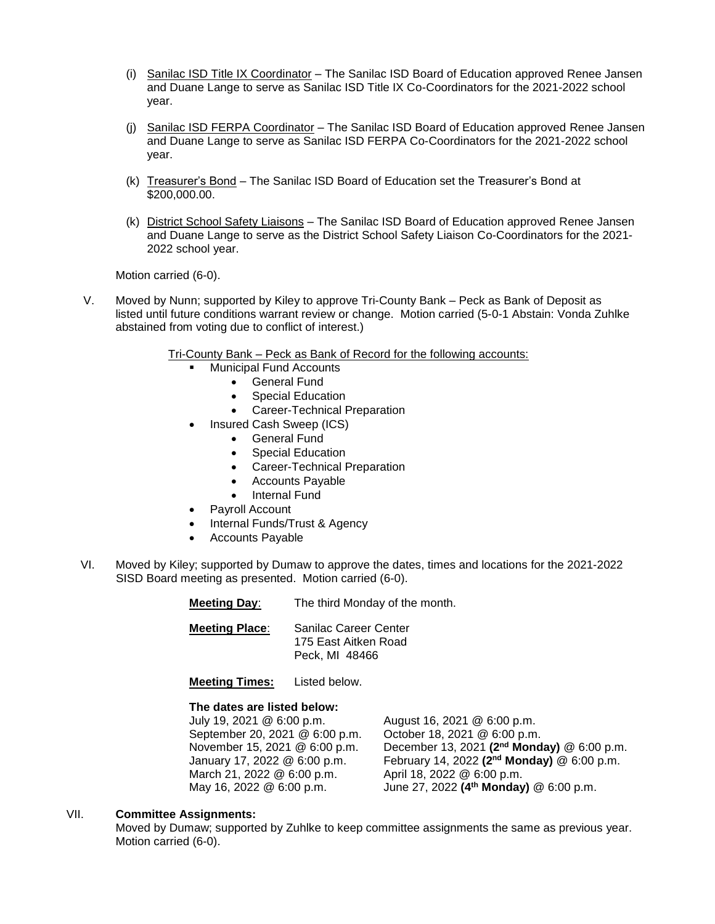- (i) Sanilac ISD Title IX Coordinator The Sanilac ISD Board of Education approved Renee Jansen and Duane Lange to serve as Sanilac ISD Title IX Co-Coordinators for the 2021-2022 school year.
- (j) Sanilac ISD FERPA Coordinator The Sanilac ISD Board of Education approved Renee Jansen and Duane Lange to serve as Sanilac ISD FERPA Co-Coordinators for the 2021-2022 school year.
- (k) Treasurer's Bond The Sanilac ISD Board of Education set the Treasurer's Bond at \$200,000.00.
- (k) District School Safety Liaisons The Sanilac ISD Board of Education approved Renee Jansen and Duane Lange to serve as the District School Safety Liaison Co-Coordinators for the 2021- 2022 school year.

Motion carried (6-0).

V. Moved by Nunn; supported by Kiley to approve Tri-County Bank – Peck as Bank of Deposit as listed until future conditions warrant review or change. Motion carried (5-0-1 Abstain: Vonda Zuhlke abstained from voting due to conflict of interest.)

Tri-County Bank – Peck as Bank of Record for the following accounts:

- Municipal Fund Accounts
	- General Fund
	- Special Education
	- Career-Technical Preparation
- Insured Cash Sweep (ICS)
	- **•** General Fund
	- Special Education
	- Career-Technical Preparation
	- Accounts Payable
	- Internal Fund
- Payroll Account
- Internal Funds/Trust & Agency
- Accounts Payable
- VI. Moved by Kiley; supported by Dumaw to approve the dates, times and locations for the 2021-2022 SISD Board meeting as presented. Motion carried (6-0).

**Meeting Day**: The third Monday of the month.

**Meeting Place**: Sanilac Career Center 175 East Aitken Road Peck, MI 48466

**Meeting Times:** Listed below.

## **The dates are listed below:**

July 19, 2021 @ 6:00 p.m. August 16, 2021 @ 6:00 p.m. September 20, 2021 @ 6:00 p.m. October 18, 2021 @ 6:00 p.m. November 15, 2021 @ 6:00 p.m. December 13, 2021 **(2nd Monday)** @ 6:00 p.m. January 17, 2022 @ 6:00 p.m. February 14, 2022 **(2nd Monday)** @ 6:00 p.m. March 21, 2022 @ 6:00 p.m. April 18, 2022 @ 6:00 p.m. May 16, 2022 @ 6:00 p.m. June 27, 2022 **(4th Monday)** @ 6:00 p.m.

## VII. **Committee Assignments:**

Moved by Dumaw; supported by Zuhlke to keep committee assignments the same as previous year. Motion carried (6-0).